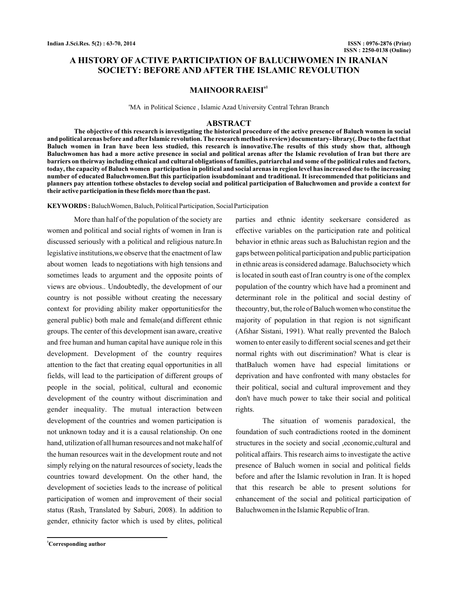# **A HISTORY OF ACTIVE PARTICIPATION OF BALUCHWOMEN IN IRANIAN SOCIETY: BEFORE AND AFTER THE ISLAMIC REVOLUTION**

# **MAHNOORRAEISIa1**

<sup>a</sup>MA in Political Science, Islamic Azad University Central Tehran Branch

#### **ABSTRACT**

**The objective of this research is investigating the historical procedure of the active presence of Baluch women in social and political arenas before and after Islamic revolution. The research method is review) documentary- library(. Due to the fact that Baluch women in Iran have been less studied, this research is innovative.The results of this study show that, although Baluchwomen has had a more active presence in social and political arenas after the Islamic revolution of Iran but there are barriers on theirway including ethnical and cultural obligations of families, patriarchal and some of the political rules and factors, today, the capacity of Baluch women participation in political and social arenas in region level has increased due to the increasing number of educated Baluchwomen.But this participation issubdominant and traditional. It isrecommended that politicians and planners pay attention tothese obstacles to develop social and political participation of Baluchwomen and provide a context for their active participation in these fields more than the past.**

KEYWORDS: BaluchWomen, Baluch, Political Participation, Social Participation

More than half of the population of the society are women and political and social rights of women in Iran is discussed seriously with a political and religious nature.In legislative institutions,we observe that the enactment of law about women leads to negotiations with high tensions and sometimes leads to argument and the opposite points of views are obvious.. Undoubtedly, the development of our country is not possible without creating the necessary context for providing ability maker opportunitiesfor the general public) both male and female(and different ethnic groups. The center of this development isan aware, creative and free human and human capital have aunique role in this development. Development of the country requires attention to the fact that creating equal opportunities in all fields, will lead to the participation of different groups of people in the social, political, cultural and economic development of the country without discrimination and gender inequality. The mutual interaction between development of the countries and women participation is not unknown today and it is a causal relationship. On one hand, utilization of all human resources and not make half of the human resources wait in the development route and not simply relying on the natural resources of society, leads the countries toward development. On the other hand, the development of societies leads to the increase of political participation of women and improvement of their social status (Rash, Translated by Saburi, 2008). In addition to gender, ethnicity factor which is used by elites, political

effective variables on the participation rate and political behavior in ethnic areas such as Baluchistan region and the gaps between political participation and public participation in ethnic areas is considered adamage. Baluchsociety which is located in south east of Iran country is one of the complex population of the country which have had a prominent and determinant role in the political and social destiny of thecountry, but, the role of Baluch women who constitue the majority of population in that region is not significant (Afshar Sistani, 1991). What really prevented the Baloch women to enter easily to different social scenes and get their normal rights with out discrimination? What is clear is thatBaluch women have had especial limitations or deprivation and have confronted with many obstacles for their political, social and cultural improvement and they don't have much power to take their social and political rights.

parties and ethnic identity seekersare considered as

The situation of womenis paradoxical, the foundation of such contradictions rooted in the dominent structures in the society and social ,economic,cultural and political affairs. This research aims to investigate the active presence of Baluch women in social and political fields before and after the Islamic revolution in Iran. It is hoped that this research be able to present solutions for enhancement of the social and political participation of Baluchwomen in the Islamic Republic of Iran.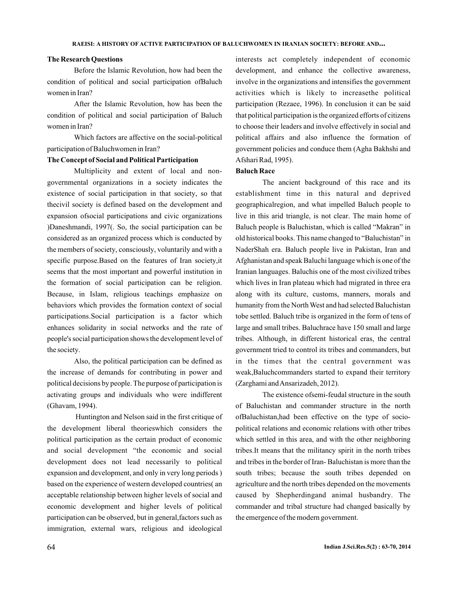### **The Research Questions**

Before the Islamic Revolution, how had been the condition of political and social participation ofBaluch women in Iran?

After the Islamic Revolution, how has been the condition of political and social participation of Baluch women in Iran?

Which factors are affective on the social-political participation of Baluchwomen in Iran?

#### **The Concept of Social and Political Participation**

Multiplicity and extent of local and nongovernmental organizations in a society indicates the existence of social participation in that society, so that thecivil society is defined based on the development and expansion ofsocial participations and civic organizations )Daneshmandi, 1997(. So, the social participation can be considered as an organized process which is conducted by the members of society, consciously, voluntarily and with a specific purpose.Based on the features of Iran society,it seems that the most important and powerful institution in the formation of social participation can be religion. Because, in Islam, religious teachings emphasize on behaviors which provides the formation context of social participations.Social participation is a factor which enhances solidarity in social networks and the rate of people's social participation shows the development level of the society.

(Ghavam, 1994). Also, the political participation can be defined as the increase of demands for contributing in power and political decisions by people. The purpose of participation is activating groups and individuals who were indifferent

Huntington and Nelson said in the first critique of the development liberal theorieswhich considers the political participation as the certain product of economic and social development "the economic and social development does not lead necessarily to political expansion and development, and only in very long periods ) based on the experience of western developed countries( an acceptable relationship between higher levels of social and economic development and higher levels of political participation can be observed, but in general,factors such as immigration, external wars, religious and ideological

interests act completely independent of economic development, and enhance the collective awareness, involve in the organizations and intensifies the government activities which is likely to increasethe political participation (Rezaee, 1996). In conclusion it can be said that political participation is the organized efforts of citizens to choose their leaders and involve effectively in social and political affairs and also influence the formation of government policies and conduce them (Agha Bakhshi and Afshari Rad, 1995).

## **Baluch Race**

The ancient background of this race and its establishment time in this natural and deprived geographicalregion, and what impelled Baluch people to live in this arid triangle, is not clear. The main home of Baluch people is Baluchistan, which is called "Makran" in old historical books. This name changed to "Baluchistan" in NaderShah era. Baluch people live in Pakistan, Iran and Afghanistan and speak Baluchi language which is one of the Iranian languages. Baluchis one of the most civilized tribes which lives in Iran plateau which had migrated in three era along with its culture, customs, manners, morals and humanity from the North West and had selected Baluchistan tobe settled. Baluch tribe is organized in the form of tens of large and small tribes. Baluchrace have 150 small and large tribes. Although, in different historical eras, the central government tried to control its tribes and commanders, but in the times that the central government was weak,Baluchcommanders started to expand their territory (Zarghami and Ansarizadeh, 2012).

The existence ofsemi-feudal structure in the south of Baluchistan and commander structure in the north ofBaluchistan,had been effective on the type of sociopolitical relations and economic relations with other tribes which settled in this area, and with the other neighboring tribes.It means that the militancy spirit in the north tribes and tribes in the border of Iran- Baluchistan is more than the south tribes; because the south tribes depended on agriculture and the north tribes depended on the movements caused by Shepherdingand animal husbandry. The commander and tribal structure had changed basically by the emergence of the modern government.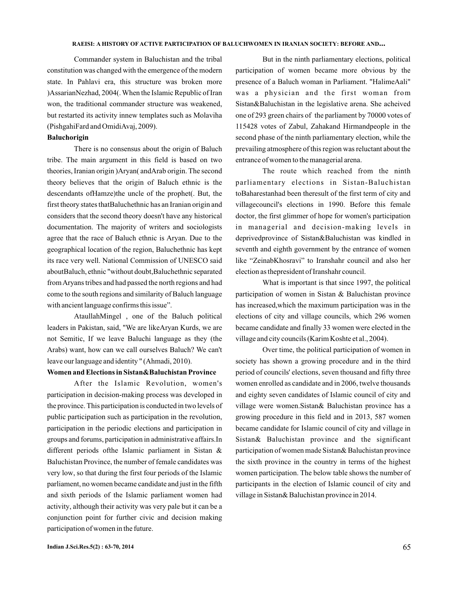#### **RAEISI: A HISTORY OF ACTIVE PARTICIPATION OF BALUCHWOMEN IN IRANIAN SOCIETY: BEFORE AND...**

(PishgahiFard and OmidiAvaj, 2009). Commander system in Baluchistan and the tribal constitution was changed with the emergence of the modern state. In Pahlavi era, this structure was broken more )AssarianNezhad, 2004(. When the Islamic Republic of Iran won, the traditional commander structure was weakened, but restarted its activity innew templates such as Molaviha

### **Baluchorigin**

There is no consensus about the origin of Baluch tribe. The main argument in this field is based on two theories, Iranian origin )Aryan( andArab origin. The second theory believes that the origin of Baluch ethnic is the descendants ofHamze)the uncle of the prophet(. But, the first theory states thatBaluchethnic has an Iranian origin and considers that the second theory doesn't have any historical documentation. The majority of writers and sociologists agree that the race of Baluch ethnic is Aryan. Due to the geographical location of the region, Baluchethnic has kept its race very well. National Commission of UNESCO said aboutBaluch, ethnic "without doubt,Baluchethnic separated fromAryans tribes and had passed the north regions and had come to the south regions and similarity of Baluch language with ancient language confirms this issue".

not Semitic, If we leave Baluchi language as they (the Arabs) want, how can we call ourselves Baluch? We can't leave our language and identity " (Ahmadi, 2010). AtaullahMingel , one of the Baluch political leaders in Pakistan, said, "We are likeAryan Kurds, we are

## **Women and Elections in Sistan&Baluchistan Province**

After the Islamic Revolution, women's participation in decision-making process was developed in the province. This participation is conducted in two levels of public participation such as participation in the revolution, participation in the periodic elections and participation in groups and forums, participation in administrative affairs.In different periods ofthe Islamic parliament in Sistan & Baluchistan Province, the number of female candidates was very low, so that during the first four periods of the Islamic parliament, no women became candidate and just in the fifth and sixth periods of the Islamic parliament women had activity, although their activity was very pale but it can be a conjunction point for further civic and decision making participation of women in the future.

But in the ninth parliamentary elections, political participation of women became more obvious by the presence of a Baluch woman in Parliament. "HalimeAali" was a physician and the first woman from Sistan&Baluchistan in the legislative arena. She acheived one of 293 green chairs of the parliament by 70000 votes of 115428 votes of Zabul, Zahakand Hirmandpeople in the second phase of the ninth parliamentary election, while the prevailing atmosphere of this region was reluctant about the entrance of women to the managerial arena.

The route which reached from the ninth parliamentary elections in Sistan-Baluchistan toBaharestanhad been theresult of the first term of city and villagecouncil's elections in 1990. Before this female doctor, the first glimmer of hope for women's participation in managerial and decision-making levels in deprivedprovince of Sistan&Baluchistan was kindled in seventh and eighth government by the entrance of women like "ZeinabKhosravi" to Iranshahr council and also her election as thepresident of Iranshahr council.

village and city councils (Karim Koshte et al., 2004). What is important is that since 1997, the political participation of women in Sistan & Baluchistan province has increased,which the maximum participation was in the elections of city and village councils, which 296 women became candidate and finally 33 women were elected in the

Over time, the political participation of women in society has shown a growing procedure and in the third period of councils' elections, seven thousand and fifty three women enrolled as candidate and in 2006, twelve thousands and eighty seven candidates of Islamic council of city and village were women.Sistan& Baluchistan province has a growing procedure in this field and in 2013, 587 women became candidate for Islamic council of city and village in Sistan& Baluchistan province and the significant participation of women made Sistan& Baluchistan province the sixth province in the country in terms of the highest women participation. The below table shows the number of participants in the election of Islamic council of city and village in Sistan& Baluchistan province in 2014.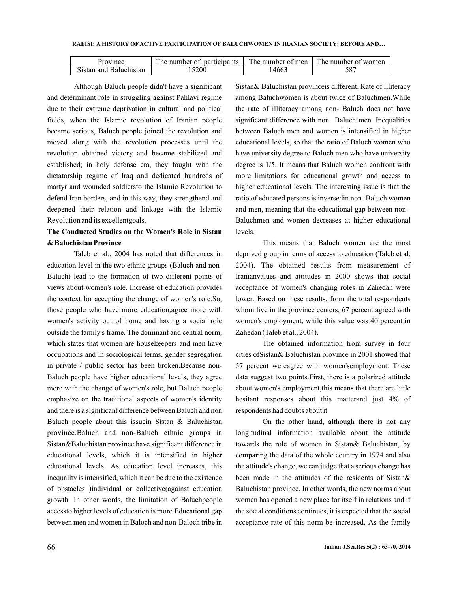| Province               | TT1.<br>participants<br>The number of | TU.<br>The number of men | The number of women |
|------------------------|---------------------------------------|--------------------------|---------------------|
| Sistan and Baluchistan | 15200                                 | 14663                    | 20/                 |

Although Baluch people didn't have a significant and determinant role in struggling against Pahlavi regime due to their extreme deprivation in cultural and political fields, when the Islamic revolution of Iranian people became serious, Baluch people joined the revolution and moved along with the revolution processes until the revolution obtained victory and became stabilized and established; in holy defense era, they fought with the dictatorship regime of Iraq and dedicated hundreds of martyr and wounded soldiersto the Islamic Revolution to defend Iran borders, and in this way, they strengthend and deepened their relation and linkage with the Islamic Revolution and its excellentgoals.

# **The Conducted Studies on the Women's Role in Sistan**  $\&$  Baluchistan Province

Taleb et al., 2004 has noted that differences in education level in the two ethnic groups (Baluch and non-Baluch) lead to the formation of two different points of views about women's role. Increase of education provides the context for accepting the change of women's role.So, those people who have more education,agree more with women's activity out of home and having a social role outside the family's frame. The dominant and central norm, which states that women are housekeepers and men have occupations and in sociological terms, gender segregation in private / public sector has been broken.Because non-Baluch people have higher educational levels, they agree more with the change of women's role, but Baluch people emphasize on the traditional aspects of women's identity and there is a significant difference between Baluch and non Baluch people about this issuein Sistan & Baluchistan province.Baluch and non-Baluch ethnic groups in Sistan&Baluchistan province have significant difference in educational levels, which it is intensified in higher educational levels. As education level increases, this inequality is intensified, which it can be due to the existence of obstacles )individual or collective(against education growth. In other words, the limitation of Baluchpeople accessto higher levels of education is more.Educational gap between men and women in Baloch and non-Baloch tribe in

Sistan& Baluchistan provinceis different. Rate of illiteracy among Baluchwomen is about twice of Baluchmen.While the rate of illiteracy among non- Baluch does not have significant difference with non Baluch men. Inequalities between Baluch men and women is intensified in higher educational levels, so that the ratio of Baluch women who have university degree to Baluch men who have university degree is 1/5. It means that Baluch women confront with more limitations for educational growth and access to higher educational levels. The interesting issue is that the ratio of educated persons is inversedin non -Baluch women and men, meaning that the educational gap between non - Baluchmen and women decreases at higher educational levels.

This means that Baluch women are the most deprived group in terms of access to education (Taleb et al, 2004). The obtained results from measurement of Iranianvalues and attitudes in 2000 shows that social acceptance of women's changing roles in Zahedan were lower. Based on these results, from the total respondents whom live in the province centers, 67 percent agreed with women's employment, while this value was 40 percent in Zahedan (Taleb et al., 2004).

The obtained information from survey in four cities ofSistan& Baluchistan province in 2001 showed that 57 percent wereagree with women'semployment. These data suggest two points.First, there is a polarized attitude about women's employment,this means that there are little hesitant responses about this matterand just 4% of respondents had doubts about it.

On the other hand, although there is not any longitudinal information available about the attitude towards the role of women in Sistan& Baluchistan, by comparing the data of the whole country in 1974 and also the attitude's change, we can judge that a serious change has been made in the attitudes of the residents of Sistan& Baluchistan province. In other words, the new norms about women has opened a new place for itself in relations and if the social conditions continues, it is expected that the social acceptance rate of this norm be increased. As the family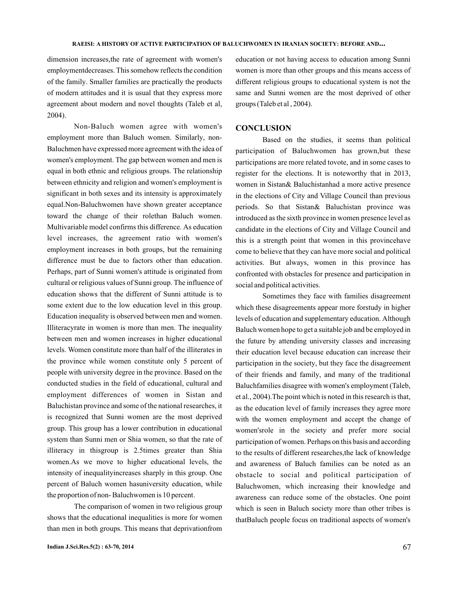dimension increases,the rate of agreement with women's employmentdecreases. This somehow reflects the condition of the family. Smaller families are practically the products of modern attitudes and it is usual that they express more agreement about modern and novel thoughts (Taleb et al, 2004).

Non-Baluch women agree with women's employment more than Baluch women. Similarly, non-Baluchmen have expressed more agreement with the idea of women's employment. The gap between women and men is equal in both ethnic and religious groups. The relationship between ethnicity and religion and women's employment is significant in both sexes and its intensity is approximately equal.Non-Baluchwomen have shown greater acceptance toward the change of their rolethan Baluch women. Multivariable model confirms this difference. As education level increases, the agreement ratio with women's employment increases in both groups, but the remaining difference must be due to factors other than education. Perhaps, part of Sunni women's attitude is originated from cultural or religious values of Sunni group. The influence of education shows that the different of Sunni attitude is to some extent due to the low education level in this group. Education inequality is observed between men and women. Illiteracyrate in women is more than men. The inequality between men and women increases in higher educational levels. Women constitute more than half of the illiterates in the province while women constitute only 5 percent of people with university degree in the province. Based on the conducted studies in the field of educational, cultural and employment differences of women in Sistan and Baluchistan province and some of the national researches, it is recognized that Sunni women are the most deprived group. This group has a lower contribution in educational system than Sunni men or Shia women, so that the rate of illiteracy in thisgroup is 2.5times greater than Shia women.As we move to higher educational levels, the intensity of inequalityincreases sharply in this group. One percent of Baluch women hasuniversity education, while the proportion of non- Baluchwomen is 10 percent.

The comparison of women in two religious group shows that the educational inequalities is more for women than men in both groups. This means that deprivationfrom

education or not having access to education among Sunni women is more than other groups and this means access of different religious groups to educational system is not the same and Sunni women are the most deprived of other groups (Taleb et al, 2004).

# **CONCLUSION**

Based on the studies, it seems than political participation of Baluchwomen has grown,but these participations are more related tovote, and in some cases to register for the elections. It is noteworthy that in 2013, women in Sistan& Baluchistanhad a more active presence in the elections of City and Village Council than previous periods. So that Sistan& Baluchistan province was introduced as the sixth province in women presence level as candidate in the elections of City and Village Council and this is a strength point that women in this provincehave come to believe that they can have more social and political activities. But always, women in this province has confronted with obstacles for presence and participation in social and political activities.

Sometimes they face with families disagreement which these disagreements appear more forstudy in higher levels of education and supplementary education. Although Baluch women hope to get a suitable job and be employed in the future by attending university classes and increasing their education level because education can increase their participation in the society, but they face the disagreement of their friends and family, and many of the traditional Baluchfamilies disagree with women's employment Taleb, ( et al., 2004). The point which is noted in this research is that, as the education level of family increases they agree more with the women employment and accept the change of women'srole in the society and prefer more social participation of women. Perhaps on this basis and according to the results of different researches,the lack of knowledge and awareness of Baluch families can be noted as an obstacle to social and political participation of Baluchwomen, which increasing their knowledge and awareness can reduce some of the obstacles. One point which is seen in Baluch society more than other tribes is thatBaluch people focus on traditional aspects of women's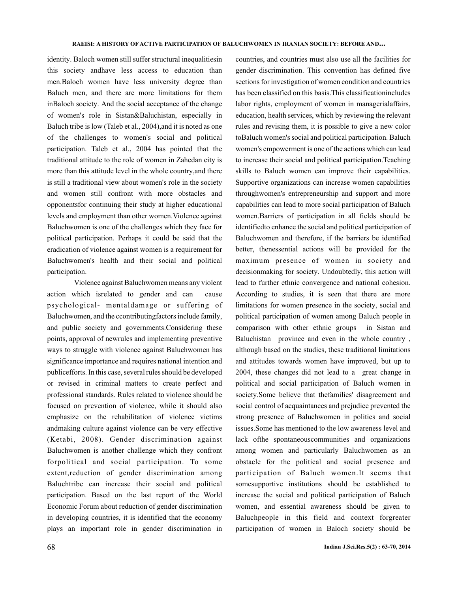identity. Baloch women still suffer structural inequalitiesin this society andhave less access to education than men.Baloch women have less university degree than Baluch men, and there are more limitations for them inBaloch society. And the social acceptance of the change of women's role in Sistan&Baluchistan, especially in Baluch tribe is low (Taleb et al., 2004), and it is noted as one of the challenges to women's social and political participation. Taleb et al., 2004 has pointed that the traditional attitude to the role of women in Zahedan city is more than this attitude level in the whole country,and there is still a traditional view about women's role in the society and women still confront with more obstacles and opponentsfor continuing their study at higher educational levels and employment than other women.Violence against Baluchwomen is one of the challenges which they face for political participation. Perhaps it could be said that the eradication of violence against women is a requirement for Baluchwomen's health and their social and political participation.

Violence against Baluchwomen means any violent action which isrelated to gender and can cause psychological- mentaldamage or suffering of Baluchwomen, and the ccontributingfactors include family, and public society and governments.Considering these points, approval of newrules and implementing preventive ways to struggle with violence against Baluchwomen has significance importance and requires national intention and publicefforts. In this case, several rules should be developed or revised in criminal matters to create perfect and professional standards. Rules related to violence should be focused on prevention of violence, while it should also emphasize on the rehabilitation of violence victims andmaking culture against violence can be very effective (Ketabi, 2008). Gender discrimination against Baluchwomen is another challenge which they confront forpolitical and social participation. To some extent,reduction of gender discrimination among Baluchtribe can increase their social and political participation. Based on the last report of the World Economic Forum about reduction of gender discrimination in developing countries, it is identified that the economy plays an important role in gender discrimination in

countries, and countries must also use all the facilities for gender discrimination. This convention has defined five sections for investigation of women condition and countries has been classified on this basis.This classificationincludes labor rights, employment of women in managerialaffairs, education, health services, which by reviewing the relevant rules and revising them, it is possible to give a new color toBaluch women's social and political participation. Baluch women's empowerment is one of the actions which can lead to increase their social and political participation.Teaching skills to Baluch women can improve their capabilities. Supportive organizations can increase women capabilities throughwomen's entrepreneurship and support and more capabilities can lead to more social participation of Baluch women.Barriers of participation in all fields should be identifiedto enhance the social and political participation of Baluchwomen and therefore, if the barriers be identified better, thenessential actions will be provided for the maximum presence of women in society and decisionmaking for society. Undoubtedly, this action will lead to further ethnic convergence and national cohesion. According to studies, it is seen that there are more limitations for women presence in the society, social and political participation of women among Baluch people in comparison with other ethnic groups Baluchistan province and even in the whole country , although based on the studies, these traditional limitations and attitudes towards women have improved, but up to 2004, these changes did not lead to a great change in political and social participation of Baluch women in society.Some believe that thefamilies' disagreement and social control of acquaintances and prejudice prevented the strong presence of Baluchwomen in politics and social issues.Some has mentioned to the low awareness level and lack ofthe spontaneouscommunities and organizations among women and particularly Baluchwomen as an obstacle for the political and social presence and participation of Baluch women.It seems that somesupportive institutions should be established to increase the social and political participation of Baluch women, and essential awareness should be given to Baluchpeople in this field and context forgreater participation of women in Baloch society should be in Sistan and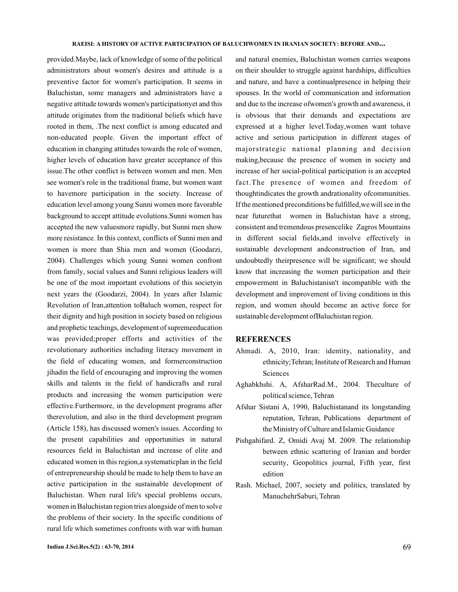provided.Maybe, lack of knowledge of some of the political administrators about women's desires and attitude is a preventive factor for women's participation. It seems in Baluchistan, some managers and administrators have a negative attitude towards women's participationyet and this attitude originates from the traditional beliefs which have rooted in them, .The next conflict is among educated and non-educated people. Given the important effect of education in changing attitudes towards the role of women, higher levels of education have greater acceptance of this issue.The other conflict is between women and men. Men see women's role in the traditional frame, but women want to havemore participation in the society. Increase of education level among young Sunni women more favorable background to accept attitude evolutions.Sunni women has accepted the new valuesmore rapidly, but Sunni men show more resistance. In this context, conflicts of Sunni men and women is more than Shia men and women Goodarzi, ( 2004). Challenges which young Sunni women confront from family, social values and Sunni religious leaders will be one of the most important evolutions of this societyin next years the (Goodarzi, 2004). In years after Islamic Revolution of Iran,attention toBaluch women, respect for their dignity and high position in society based on religious and prophetic teachings, development of supremeeducation was provided;proper efforts and activities of the revolutionary authorities including literacy movement in the field of educating women, and formerconstruction jihadin the field of encouraging and improving the women skills and talents in the field of handicrafts and rural products and increasing the women participation were effective.Furthermore, in the development programs after therevolution, and also in the third development program (Article 158), has discussed women's issues. According to the present capabilities and opportunities in natural resources field in Baluchistan and increase of elite and educated women in this region,a systematicplan in the field of entrepreneurship should be made to help them to have an active participation in the sustainable development of Baluchistan. When rural life's special problems occurs, women in Baluchistan region tries alongside of men to solve the problems of their society. In the specific conditions of rural life which sometimes confronts with war with human

and natural enemies, Baluchistan women carries weapons on their shoulder to struggle against hardships, difficulties and nature, and have a continualpresence in helping their spouses. In the world of communication and information and due to the increase ofwomen's growth and awareness, it is obvious that their demands and expectations are expressed at a higher level.Today,women want tohave active and serious participation in different stages of majorstrategic national planning and decision making,because the presence of women in society and increase of her social-political participation is an accepted fact.The presence of women and freedom of thoughtindicates the growth andrationality ofcommunities. If the mentioned preconditions be fulfilled,we will see in the near futurethat women in Baluchistan have a strong, consistent and tremendous presencelike Zagros Mountains in different social fields,and involve effectively in sustainable development andconstruction of Iran, and undoubtedly theirpresence will be significant; we should know that increasing the women participation and their empowerment in Baluchistanisn't incompatible with the development and improvement of living conditions in this region, and women should become an active force for sustainable development ofBaluchistan region.

### **REFERENCES**

- Ahmadi. A, 2010, Iran: identity, nationality, and ethnicity;Tehran; Institute of Research and Human **Sciences**
- Aghabkhshi. A, AfsharRad.M., 2004. Theculture of political science, Tehran
- Afshar Sistani A, 1990, Baluchistanand its longstanding reputation, Tehran, Publications department of the Ministry of Culture and Islamic Guidance
- Pishgahifard. Z, Omidi Avaj M. 2009. The relationship between ethnic scattering of Iranian and border security, Geopolitics journal, Fifth year, first edition
- Rash. Michael, 2007, society and politics, translated by ManuchehrSaburi, Tehran